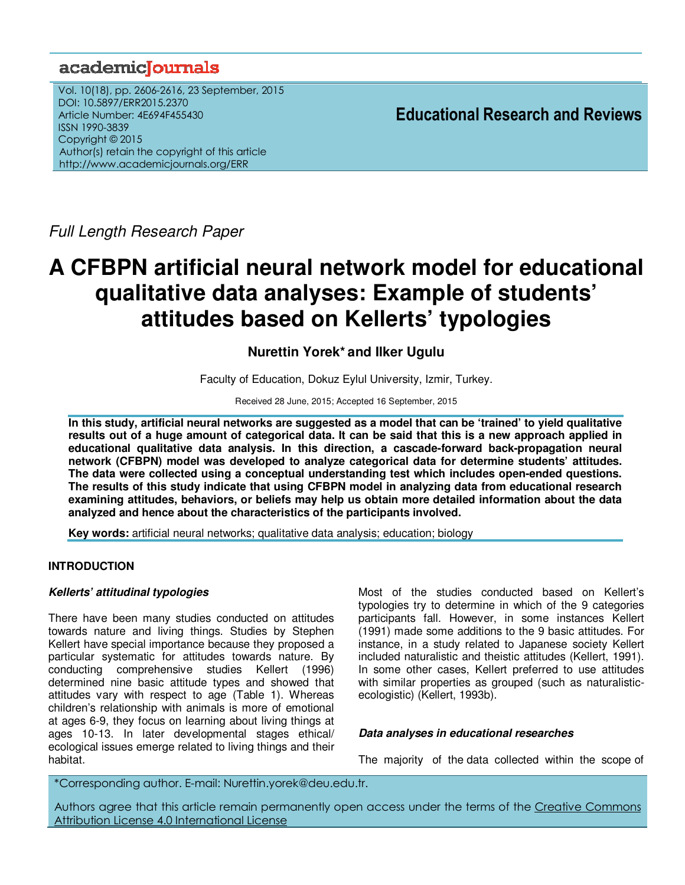# academiclournals

Vol. 10(18), pp. 2606-2616, 23 September, 2015 DOI: 10.5897/ERR2015.2370 Article Number: 4E694F455430 ISSN 1990-3839 Copyright © 2015 Author(s) retain the copyright of this article http://www.academicjournals.org/ERR

**Educational Research and Reviews**

Full Length Research Paper

# **A CFBPN artificial neural network model for educational qualitative data analyses: Example of students' attitudes based on Kellerts' typologies**

# **Nurettin Yorek\* and Ilker Ugulu**

Faculty of Education, Dokuz Eylul University, Izmir, Turkey.

Received 28 June, 2015; Accepted 16 September, 2015

**In this study, artificial neural networks are suggested as a model that can be 'trained' to yield qualitative results out of a huge amount of categorical data. It can be said that this is a new approach applied in educational qualitative data analysis. In this direction, a cascade-forward back-propagation neural network (CFBPN) model was developed to analyze categorical data for determine students' attitudes. The data were collected using a conceptual understanding test which includes open-ended questions. The results of this study indicate that using CFBPN model in analyzing data from educational research examining attitudes, behaviors, or beliefs may help us obtain more detailed information about the data analyzed and hence about the characteristics of the participants involved.** 

**Key words:** artificial neural networks; qualitative data analysis; education; biology

# **INTRODUCTION**

# **Kellerts' attitudinal typologies**

There have been many studies conducted on attitudes towards nature and living things. Studies by Stephen Kellert have special importance because they proposed a particular systematic for attitudes towards nature. By conducting comprehensive studies Kellert (1996) determined nine basic attitude types and showed that attitudes vary with respect to age (Table 1). Whereas children's relationship with animals is more of emotional at ages 6-9, they focus on learning about living things at ages 10-13. In later developmental stages ethical/ ecological issues emerge related to living things and their habitat.

Most of the studies conducted based on Kellert's typologies try to determine in which of the 9 categories participants fall. However, in some instances Kellert (1991) made some additions to the 9 basic attitudes. For instance, in a study related to Japanese society Kellert included naturalistic and theistic attitudes (Kellert, 1991). In some other cases, Kellert preferred to use attitudes with similar properties as grouped (such as naturalisticecologistic) (Kellert, 1993b).

# **Data analyses in educational researches**

The majority of the data collected within the scope of

\*Corresponding author. E-mail: Nurettin.yorek@deu.edu.tr.

Authors agree that this article remain permanently open access under the terms of the Creative Commons Attribution License 4.0 International License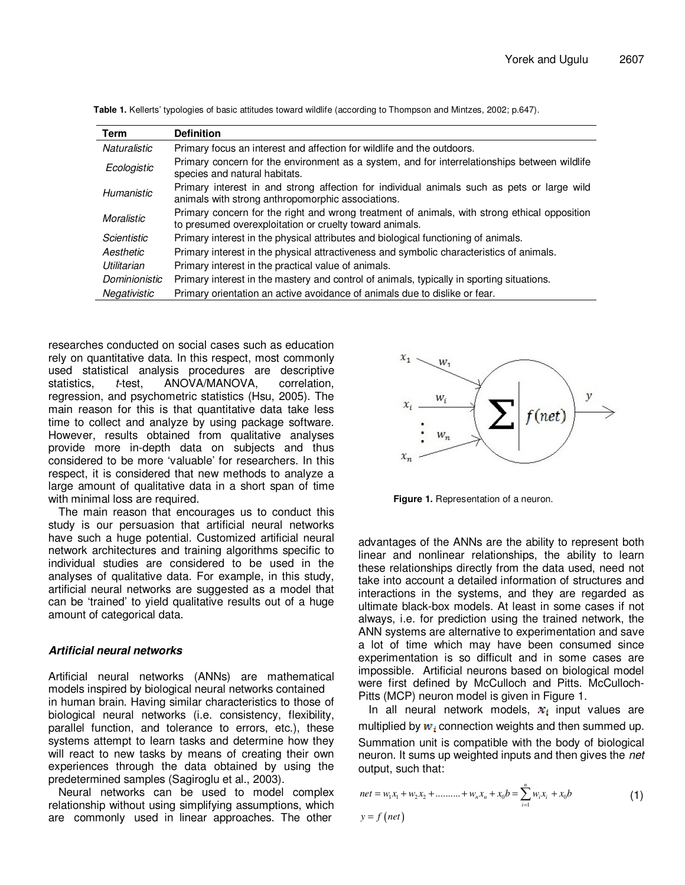| Term               | <b>Definition</b>                                                                                                                                       |
|--------------------|---------------------------------------------------------------------------------------------------------------------------------------------------------|
| Naturalistic       | Primary focus an interest and affection for wildlife and the outdoors.                                                                                  |
| Ecologistic        | Primary concern for the environment as a system, and for interrelationships between wildlife<br>species and natural habitats.                           |
| Humanistic         | Primary interest in and strong affection for individual animals such as pets or large wild<br>animals with strong anthropomorphic associations.         |
| Moralistic         | Primary concern for the right and wrong treatment of animals, with strong ethical opposition<br>to presumed overexploitation or cruelty toward animals. |
| <b>Scientistic</b> | Primary interest in the physical attributes and biological functioning of animals.                                                                      |
| Aesthetic          | Primary interest in the physical attractiveness and symbolic characteristics of animals.                                                                |
| Utilitarian        | Primary interest in the practical value of animals.                                                                                                     |
| Dominionistic      | Primary interest in the mastery and control of animals, typically in sporting situations.                                                               |
| Negativistic       | Primary orientation an active avoidance of animals due to dislike or fear.                                                                              |

**Table 1.** Kellerts' typologies of basic attitudes toward wildlife (according to Thompson and Mintzes, 2002; p.647).

researches conducted on social cases such as education rely on quantitative data. In this respect, most commonly used statistical analysis procedures are descriptive statistics, *t*-test, ANOVA/MANOVA, correlation, regression, and psychometric statistics (Hsu, 2005). The main reason for this is that quantitative data take less time to collect and analyze by using package software. However, results obtained from qualitative analyses provide more in-depth data on subjects and thus considered to be more 'valuable' for researchers. In this respect, it is considered that new methods to analyze a large amount of qualitative data in a short span of time with minimal loss are required.

The main reason that encourages us to conduct this study is our persuasion that artificial neural networks have such a huge potential. Customized artificial neural network architectures and training algorithms specific to individual studies are considered to be used in the analyses of qualitative data. For example, in this study, artificial neural networks are suggested as a model that can be 'trained' to yield qualitative results out of a huge amount of categorical data.

### **Artificial neural networks**

Artificial neural networks (ANNs) are mathematical models inspired by biological neural networks contained in human brain. Having similar characteristics to those of biological neural networks (i.e. consistency, flexibility, parallel function, and tolerance to errors, etc.), these systems attempt to learn tasks and determine how they will react to new tasks by means of creating their own experiences through the data obtained by using the predetermined samples (Sagiroglu et al., 2003).

Neural networks can be used to model complex relationship without using simplifying assumptions, which are commonly used in linear approaches. The other



**Figure 1.** Representation of a neuron.

advantages of the ANNs are the ability to represent both linear and nonlinear relationships, the ability to learn these relationships directly from the data used, need not take into account a detailed information of structures and interactions in the systems, and they are regarded as ultimate black-box models. At least in some cases if not always, i.e. for prediction using the trained network, the ANN systems are alternative to experimentation and save a lot of time which may have been consumed since experimentation is so difficult and in some cases are impossible. Artificial neurons based on biological model were first defined by McCulloch and Pitts. McCulloch-Pitts (MCP) neuron model is given in Figure 1.

In all neural network models,  $x_i$  input values are multiplied by  $W_i$  connection weights and then summed up. Summation unit is compatible with the body of biological neuron. It sums up weighted inputs and then gives the net output, such that:

$$
net = w_1 x_1 + w_2 x_2 + \dots + w_n x_n + x_0 b = \sum_{i=1}^{n} w_i x_i + x_0 b
$$
  
\n
$$
y = f (net)
$$
 (1)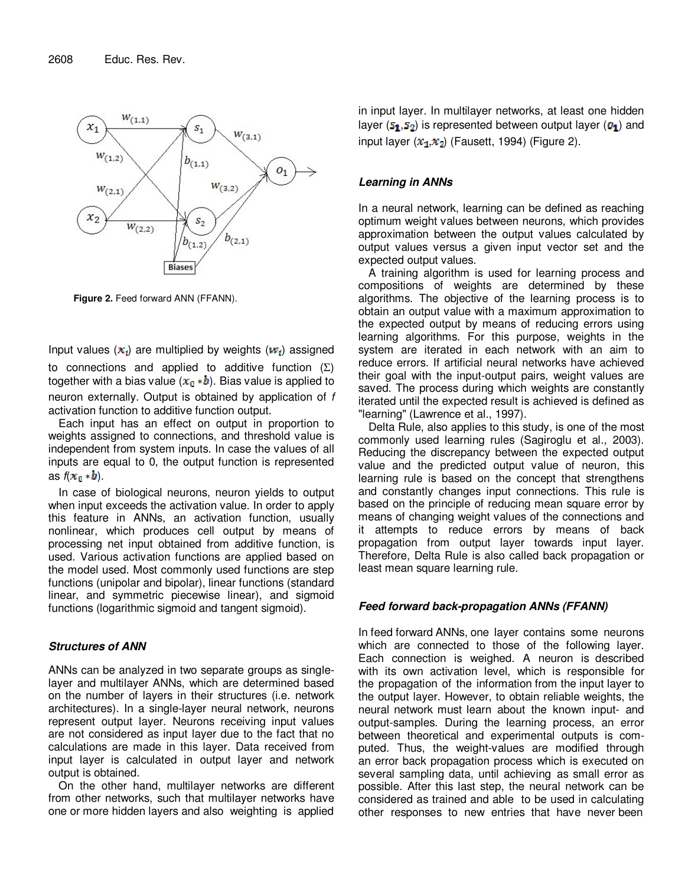

Figure 2. Feed forward ANN (FFANN).

Input values  $(x_i)$  are multiplied by weights  $(w_i)$  assigned to connections and applied to additive function  $(Σ)$ together with a bias value ( $x_0 * b$ ). Bias value is applied to neuron externally. Output is obtained by application of f activation function to additive function output.

Each input has an effect on output in proportion to weights assigned to connections, and threshold value is independent from system inputs. In case the values of all inputs are equal to 0, the output function is represented as  $f(x_0 * b)$ .

In case of biological neurons, neuron yields to output when input exceeds the activation value. In order to apply this feature in ANNs, an activation function, usually nonlinear, which produces cell output by means of processing net input obtained from additive function, is used. Various activation functions are applied based on the model used. Most commonly used functions are step functions (unipolar and bipolar), linear functions (standard linear, and symmetric piecewise linear), and sigmoid functions (logarithmic sigmoid and tangent sigmoid).

### **Structures of ANN**

ANNs can be analyzed in two separate groups as singlelayer and multilayer ANNs, which are determined based on the number of layers in their structures (i.e. network architectures). In a single-layer neural network, neurons represent output layer. Neurons receiving input values are not considered as input layer due to the fact that no calculations are made in this layer. Data received from input layer is calculated in output layer and network output is obtained.

On the other hand, multilayer networks are different from other networks, such that multilayer networks have one or more hidden layers and also weighting is applied in input layer. In multilayer networks, at least one hidden layer ( $S_1$ ,  $S_2$ ) is represented between output layer ( $O_1$ ) and input layer  $(x_1, x_2)$  (Fausett, 1994) (Figure 2).

## **Learning in ANNs**

In a neural network, learning can be defined as reaching optimum weight values between neurons, which provides approximation between the output values calculated by output values versus a given input vector set and the expected output values.

A training algorithm is used for learning process and compositions of weights are determined by these algorithms. The objective of the learning process is to obtain an output value with a maximum approximation to the expected output by means of reducing errors using learning algorithms. For this purpose, weights in the system are iterated in each network with an aim to reduce errors. If artificial neural networks have achieved their goal with the input-output pairs, weight values are saved. The process during which weights are constantly iterated until the expected result is achieved is defined as "learning" (Lawrence et al., 1997).

Delta Rule, also applies to this study, is one of the most commonly used learning rules (Sagiroglu et al., 2003). Reducing the discrepancy between the expected output value and the predicted output value of neuron, this learning rule is based on the concept that strengthens and constantly changes input connections. This rule is based on the principle of reducing mean square error by means of changing weight values of the connections and it attempts to reduce errors by means of back propagation from output layer towards input layer. Therefore, Delta Rule is also called back propagation or least mean square learning rule.

### **Feed forward back-propagation ANNs (FFANN)**

In feed forward ANNs, one layer contains some neurons which are connected to those of the following layer. Each connection is weighed. A neuron is described with its own activation level, which is responsible for the propagation of the information from the input layer to the output layer. However, to obtain reliable weights, the neural network must learn about the known input- and output-samples. During the learning process, an error between theoretical and experimental outputs is computed. Thus, the weight-values are modified through an error back propagation process which is executed on several sampling data, until achieving as small error as possible. After this last step, the neural network can be considered as trained and able to be used in calculating other responses to new entries that have never been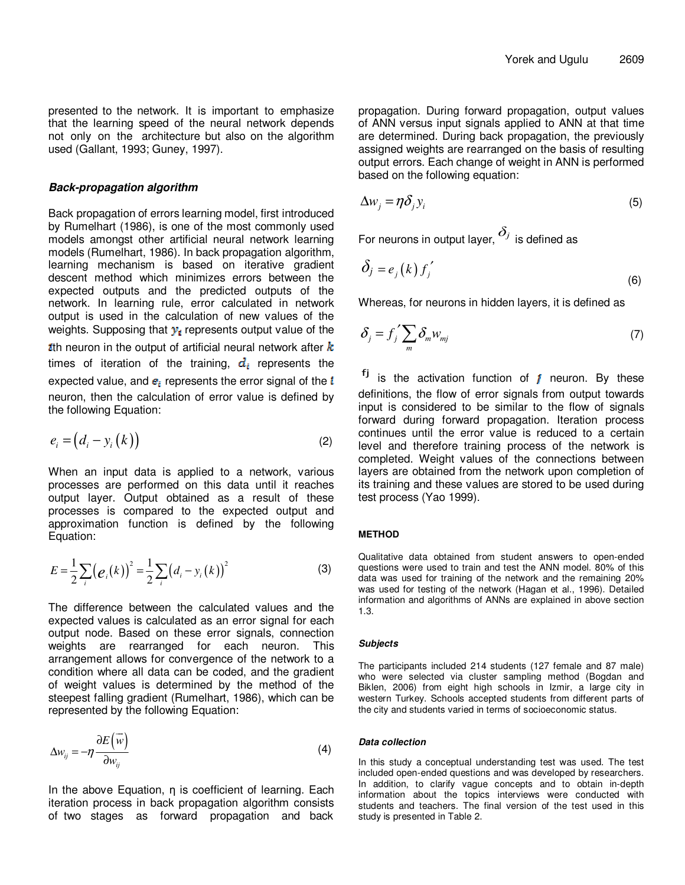presented to the network. It is important to emphasize that the learning speed of the neural network depends not only on the architecture but also on the algorithm used (Gallant, 1993; Guney, 1997).

#### **Back-propagation algorithm**

Back propagation of errors learning model, first introduced by Rumelhart (1986), is one of the most commonly used models amongst other artificial neural network learning models (Rumelhart, 1986). In back propagation algorithm, learning mechanism is based on iterative gradient descent method which minimizes errors between the expected outputs and the predicted outputs of the network. In learning rule, error calculated in network output is used in the calculation of new values of the weights. Supposing that  $y_i$  represents output value of the ith neuron in the output of artificial neural network after  $k$ times of iteration of the training,  $d_i$  represents the expected value, and  $e_i$  represents the error signal of the  $i$ neuron, then the calculation of error value is defined by the following Equation:

$$
e_i = (d_i - y_i(k))
$$
 (2)

When an input data is applied to a network, various processes are performed on this data until it reaches output layer. Output obtained as a result of these processes is compared to the expected output and approximation function is defined by the following Equation:

$$
E = \frac{1}{2} \sum_{i} (e_i(k))^2 = \frac{1}{2} \sum_{i} (d_i - y_i(k))^2
$$
 (3)

The difference between the calculated values and the expected values is calculated as an error signal for each output node. Based on these error signals, connection weights are rearranged for each neuron. This arrangement allows for convergence of the network to a condition where all data can be coded, and the gradient of weight values is determined by the method of the steepest falling gradient (Rumelhart, 1986), which can be represented by the following Equation:

$$
\Delta w_{ij} = -\eta \frac{\partial E(\vec{w})}{\partial w_{ij}} \tag{4}
$$

In the above Equation, η is coefficient of learning. Each iteration process in back propagation algorithm consists of two stages as forward propagation and back propagation. During forward propagation, output values of ANN versus input signals applied to ANN at that time are determined. During back propagation, the previously assigned weights are rearranged on the basis of resulting output errors. Each change of weight in ANN is performed based on the following equation:

$$
\Delta w_j = \eta \delta_j y_i \tag{5}
$$

For neurons in output layer,  $\delta_j$  is defined as

$$
\delta_j = e_j(k) f'_j \tag{6}
$$

Whereas, for neurons in hidden layers, it is defined as

$$
\delta_j = f'_j \sum_m \delta_m w_{mj} \tag{7}
$$

 $f_j$  is the activation function of  $j$  neuron. By these definitions, the flow of error signals from output towards input is considered to be similar to the flow of signals forward during forward propagation. Iteration process continues until the error value is reduced to a certain level and therefore training process of the network is completed. Weight values of the connections between layers are obtained from the network upon completion of its training and these values are stored to be used during test process (Yao 1999).

#### **METHOD**

Qualitative data obtained from student answers to open-ended questions were used to train and test the ANN model. 80% of this data was used for training of the network and the remaining 20% was used for testing of the network (Hagan et al., 1996). Detailed information and algorithms of ANNs are explained in above section 1.3.

#### **Subjects**

The participants included 214 students (127 female and 87 male) who were selected via cluster sampling method (Bogdan and Biklen, 2006) from eight high schools in Izmir, a large city in western Turkey. Schools accepted students from different parts of the city and students varied in terms of socioeconomic status.

#### **Data collection**

In this study a conceptual understanding test was used. The test included open-ended questions and was developed by researchers. In addition, to clarify vague concepts and to obtain in-depth information about the topics interviews were conducted with students and teachers. The final version of the test used in this study is presented in Table 2.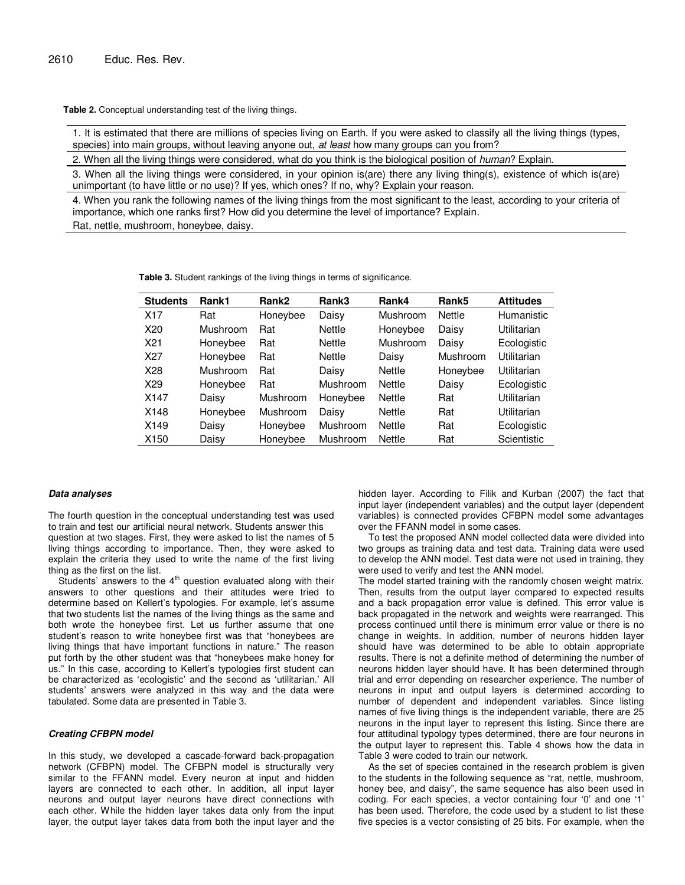**Table 2.** Conceptual understanding test of the living things.

1. It is estimated that there are millions of species living on Earth. If you were asked to classify all the living things (types, species) into main groups, without leaving anyone out, at least how many groups can you from?

2. When all the living things were considered, what do you think is the biological position of human? Explain.

3. When all the living things were considered, in your opinion is(are) there any living thing(s), existence of which is(are) unimportant (to have little or no use)? If yes, which ones? If no, why? Explain your reason.

4. When you rank the following names of the living things from the most significant to the least, according to your criteria of importance, which one ranks first? How did you determine the level of importance? Explain.

Rat, nettle, mushroom, honeybee, daisy.

**Table 3.** Student rankings of the living things in terms of significance.

| <b>Students</b>  | Rank1    | Rank2    | Rank3    | Rank4         | Rank <sub>5</sub> | <b>Attitudes</b> |
|------------------|----------|----------|----------|---------------|-------------------|------------------|
| X <sub>17</sub>  | Rat      | Honeybee | Daisy    | Mushroom      | Nettle            | Humanistic       |
| X <sub>20</sub>  | Mushroom | Rat      | Nettle   | Honeybee      | Daisy             | Utilitarian      |
| X <sub>21</sub>  | Honeybee | Rat      | Nettle   | Mushroom      | Daisy             | Ecologistic      |
| X <sub>27</sub>  | Honeybee | Rat      | Nettle   | Daisy         | Mushroom          | Utilitarian      |
| X28              | Mushroom | Rat      | Daisy    | <b>Nettle</b> | Honeybee          | Utilitarian      |
| X <sub>29</sub>  | Honeybee | Rat      | Mushroom | Nettle        | Daisy             | Ecologistic      |
| X <sub>147</sub> | Daisy    | Mushroom | Honeybee | Nettle        | Rat               | Utilitarian      |
| X148             | Honeybee | Mushroom | Daisy    | <b>Nettle</b> | Rat               | Utilitarian      |
| X <sub>149</sub> | Daisy    | Honeybee | Mushroom | Nettle        | Rat               | Ecologistic      |
| X <sub>150</sub> | Daisy    | Honeybee | Mushroom | Nettle        | Rat               | Scientistic      |
|                  |          |          |          |               |                   |                  |

#### **Data analyses**

The fourth question in the conceptual understanding test was used to train and test our artificial neural network. Students answer this question at two stages. First, they were asked to list the names of 5 living things according to importance. Then, they were asked to explain the criteria they used to write the name of the first living thing as the first on the list.

Students' answers to the  $4<sup>th</sup>$  question evaluated along with their answers to other questions and their attitudes were tried to determine based on Kellert's typologies. For example, let's assume that two students list the names of the living things as the same and both wrote the honeybee first. Let us further assume that one student's reason to write honeybee first was that "honeybees are living things that have important functions in nature." The reason put forth by the other student was that "honeybees make honey for us." In this case, according to Kellert's typologies first student can be characterized as 'ecologistic' and the second as 'utilitarian.' All students' answers were analyzed in this way and the data were tabulated. Some data are presented in Table 3.

#### **Creating CFBPN model**

In this study, we developed a cascade-forward back-propagation network (CFBPN) model. The CFBPN model is structurally very similar to the FFANN model. Every neuron at input and hidden layers are connected to each other. In addition, all input layer neurons and output layer neurons have direct connections with each other. While the hidden layer takes data only from the input layer, the output layer takes data from both the input layer and the

hidden layer. According to Filik and Kurban (2007) the fact that input layer (independent variables) and the output layer (dependent variables) is connected provides CFBPN model some advantages over the FFANN model in some cases.

To test the proposed ANN model collected data were divided into two groups as training data and test data. Training data were used to develop the ANN model. Test data were not used in training, they were used to verify and test the ANN model.

The model started training with the randomly chosen weight matrix. Then, results from the output layer compared to expected results and a back propagation error value is defined. This error value is back propagated in the network and weights were rearranged. This process continued until there is minimum error value or there is no change in weights. In addition, number of neurons hidden layer should have was determined to be able to obtain appropriate results. There is not a definite method of determining the number of neurons hidden layer should have. It has been determined through trial and error depending on researcher experience. The number of neurons in input and output layers is determined according to number of dependent and independent variables. Since listing names of five living things is the independent variable, there are 25 neurons in the input layer to represent this listing. Since there are four attitudinal typology types determined, there are four neurons in the output layer to represent this. Table 4 shows how the data in Table 3 were coded to train our network.

As the set of species contained in the research problem is given to the students in the following sequence as "rat, nettle, mushroom, honey bee, and daisy", the same sequence has also been used in coding. For each species, a vector containing four '0' and one '1' has been used. Therefore, the code used by a student to list these five species is a vector consisting of 25 bits. For example, when the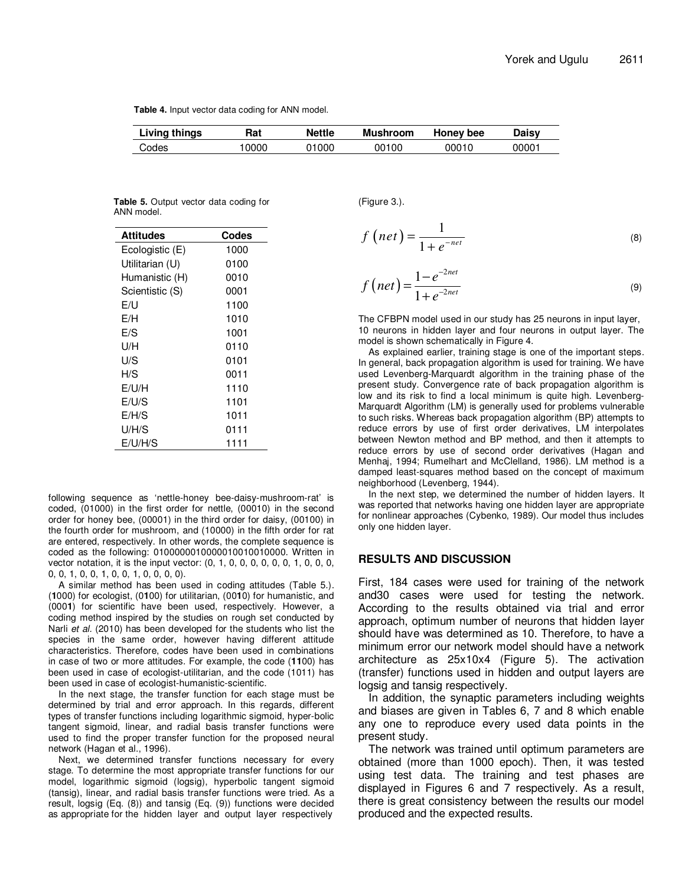| Table 4. Input vector data coding for ANN model. |  |  |  |  |  |
|--------------------------------------------------|--|--|--|--|--|
|--------------------------------------------------|--|--|--|--|--|

| <b>Living things</b> | Rat  | <b>Nettle</b> | Mushroom | Honey bee | Daisv |
|----------------------|------|---------------|----------|-----------|-------|
| Codes                | 0000 | 11000         | 00100    | 00010     | .000ر |

| <b>Table 5.</b> Output vector data coding for |  |  |  |
|-----------------------------------------------|--|--|--|
| ANN model.                                    |  |  |  |

| Attitudes       | Codes |
|-----------------|-------|
| Ecologistic (E) | 1000  |
| Utilitarian (U) | 0100  |
| Humanistic (H)  | 0010  |
| Scientistic (S) | 0001  |
| E/U             | 1100  |
| E/H             | 1010  |
| E/S             | 1001  |
| U/H             | 0110  |
| U/S             | 0101  |
| H/S             | 0011  |
| E/U/H           | 1110  |
| E/U/S           | 1101  |
| E/H/S           | 1011  |
| U/H/S           | 0111  |
| E/U/H/S         | 1111  |

following sequence as 'nettle-honey bee-daisy-mushroom-rat' is coded, (01000) in the first order for nettle, (00010) in the second order for honey bee, (00001) in the third order for daisy, (00100) in the fourth order for mushroom, and (10000) in the fifth order for rat are entered, respectively. In other words, the complete sequence is coded as the following: 0100000010000010010010000. Written in vector notation, it is the input vector: (0, 1, 0, 0, 0, 0, 0, 0, 1, 0, 0, 0, 0, 0, 1, 0, 0, 1, 0, 0, 1, 0, 0, 0, 0).

A similar method has been used in coding attitudes (Table 5.). (**1**000) for ecologist, (0**1**00) for utilitarian, (00**1**0) for humanistic, and (000**1**) for scientific have been used, respectively. However, a coding method inspired by the studies on rough set conducted by Narli et al. (2010) has been developed for the students who list the species in the same order, however having different attitude characteristics. Therefore, codes have been used in combinations in case of two or more attitudes. For example, the code (**11**00) has been used in case of ecologist-utilitarian, and the code (1011) has been used in case of ecologist-humanistic-scientific.

In the next stage, the transfer function for each stage must be determined by trial and error approach. In this regards, different types of transfer functions including logarithmic sigmoid, hyper-bolic tangent sigmoid, linear, and radial basis transfer functions were used to find the proper transfer function for the proposed neural network (Hagan et al., 1996).

Next, we determined transfer functions necessary for every stage. To determine the most appropriate transfer functions for our model, logarithmic sigmoid (logsig), hyperbolic tangent sigmoid (tansig), linear, and radial basis transfer functions were tried. As a result, logsig (Eq. (8)) and tansig (Eq. (9)) functions were decided as appropriate for the hidden layer and output layer respectively

(Figure 3.).

$$
f\left(net\right) = \frac{1}{1 + e^{-net}}\tag{8}
$$

$$
f\left(net\right) = \frac{1 - e^{-2net}}{1 + e^{-2net}}\tag{9}
$$

The CFBPN model used in our study has 25 neurons in input layer, 10 neurons in hidden layer and four neurons in output layer. The model is shown schematically in Figure 4.

As explained earlier, training stage is one of the important steps. In general, back propagation algorithm is used for training. We have used Levenberg-Marquardt algorithm in the training phase of the present study. Convergence rate of back propagation algorithm is low and its risk to find a local minimum is quite high. Levenberg-Marquardt Algorithm (LM) is generally used for problems vulnerable to such risks. Whereas back propagation algorithm (BP) attempts to reduce errors by use of first order derivatives, LM interpolates between Newton method and BP method, and then it attempts to reduce errors by use of second order derivatives (Hagan and Menhaj, 1994; Rumelhart and McClelland, 1986). LM method is a damped least-squares method based on the concept of maximum neighborhood (Levenberg, 1944).

In the next step, we determined the number of hidden layers. It was reported that networks having one hidden layer are appropriate for nonlinear approaches (Cybenko, 1989). Our model thus includes only one hidden layer.

#### **RESULTS AND DISCUSSION**

First, 184 cases were used for training of the network and30 cases were used for testing the network. According to the results obtained via trial and error approach, optimum number of neurons that hidden layer should have was determined as 10. Therefore, to have a minimum error our network model should have a network architecture as 25x10x4 (Figure 5). The activation (transfer) functions used in hidden and output layers are logsig and tansig respectively.

In addition, the synaptic parameters including weights and biases are given in Tables 6, 7 and 8 which enable any one to reproduce every used data points in the present study.

The network was trained until optimum parameters are obtained (more than 1000 epoch). Then, it was tested using test data. The training and test phases are displayed in Figures 6 and 7 respectively. As a result, there is great consistency between the results our model produced and the expected results.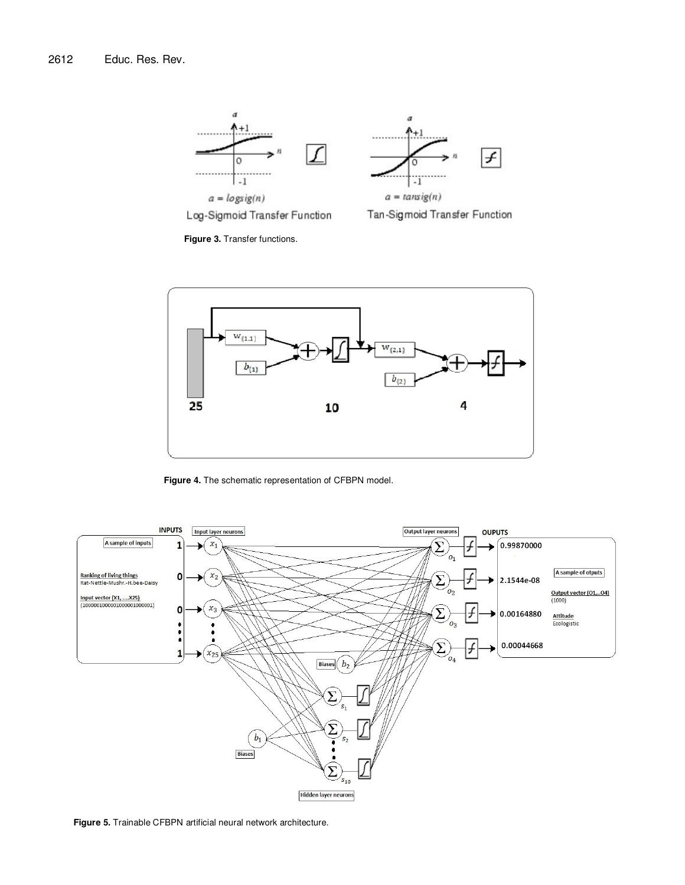

**Figure 3. Transfer functions.** 







**Figure 4.** The schematic representation of CFBPN model.



**Figure 5.** Trainable CFBPN artificial neural network architecture.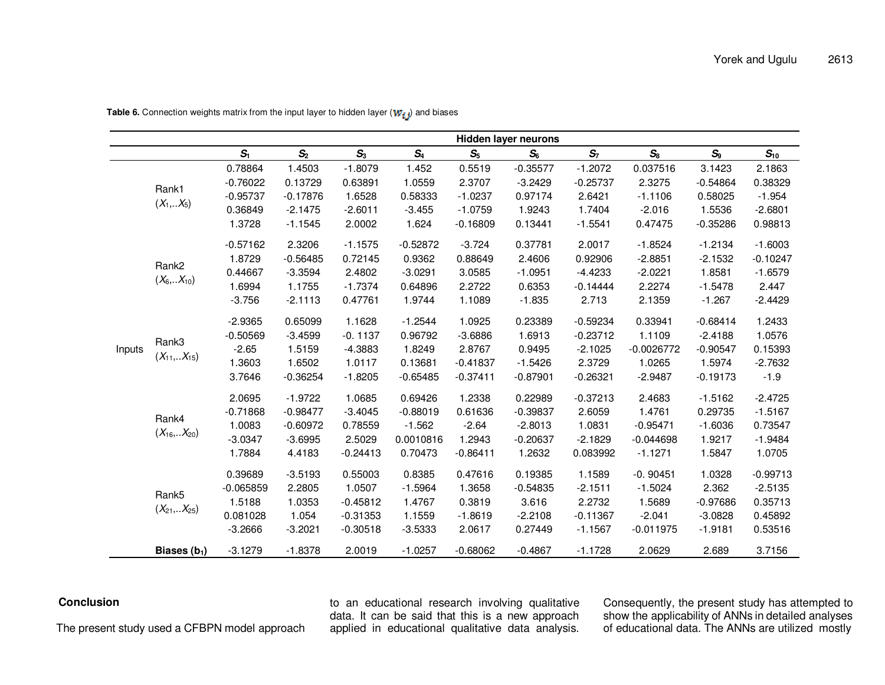|        |                                     | <b>Hidden layer neurons</b> |                |                |                |            |            |                |              |                |            |
|--------|-------------------------------------|-----------------------------|----------------|----------------|----------------|------------|------------|----------------|--------------|----------------|------------|
|        |                                     | S <sub>1</sub>              | S <sub>2</sub> | S <sub>3</sub> | S <sub>4</sub> | $S_5$      | $S_6$      | $\mathbb{S}_7$ | $S_8$        | $\mathbb{S}_9$ | $S_{10}$   |
|        |                                     | 0.78864                     | 1.4503         | $-1.8079$      | 1.452          | 0.5519     | $-0.35577$ | $-1.2072$      | 0.037516     | 3.1423         | 2.1863     |
|        |                                     | $-0.76022$                  | 0.13729        | 0.63891        | 1.0559         | 2.3707     | $-3.2429$  | $-0.25737$     | 2.3275       | $-0.54864$     | 0.38329    |
|        | Rank1                               | $-0.95737$                  | $-0.17876$     | 1.6528         | 0.58333        | $-1.0237$  | 0.97174    | 2.6421         | $-1.1106$    | 0.58025        | $-1.954$   |
|        | $(X_1,X_5)$                         | 0.36849                     | $-2.1475$      | $-2.6011$      | $-3.455$       | $-1.0759$  | 1.9243     | 1.7404         | $-2.016$     | 1.5536         | $-2.6801$  |
|        |                                     | 1.3728                      | $-1.1545$      | 2.0002         | 1.624          | $-0.16809$ | 0.13441    | $-1.5541$      | 0.47475      | $-0.35286$     | 0.98813    |
|        |                                     | $-0.57162$                  | 2.3206         | $-1.1575$      | $-0.52872$     | $-3.724$   | 0.37781    | 2.0017         | $-1.8524$    | $-1.2134$      | $-1.6003$  |
|        |                                     | 1.8729                      | $-0.56485$     | 0.72145        | 0.9362         | 0.88649    | 2.4606     | 0.92906        | $-2.8851$    | $-2.1532$      | $-0.10247$ |
|        | Rank <sub>2</sub><br>$(X_6,X_{10})$ | 0.44667                     | $-3.3594$      | 2.4802         | $-3.0291$      | 3.0585     | $-1.0951$  | $-4.4233$      | $-2.0221$    | 1.8581         | $-1.6579$  |
|        |                                     | 1.6994                      | 1.1755         | $-1.7374$      | 0.64896        | 2.2722     | 0.6353     | $-0.14444$     | 2.2274       | $-1.5478$      | 2.447      |
|        |                                     | $-3.756$                    | $-2.1113$      | 0.47761        | 1.9744         | 1.1089     | $-1.835$   | 2.713          | 2.1359       | $-1.267$       | $-2.4429$  |
|        |                                     | $-2.9365$                   | 0.65099        | 1.1628         | $-1.2544$      | 1.0925     | 0.23389    | $-0.59234$     | 0.33941      | $-0.68414$     | 1.2433     |
|        |                                     | $-0.50569$                  | $-3.4599$      | $-0.1137$      | 0.96792        | $-3.6886$  | 1.6913     | $-0.23712$     | 1.1109       | $-2.4188$      | 1.0576     |
| Inputs | Rank3                               | $-2.65$                     | 1.5159         | $-4.3883$      | 1.8249         | 2.8767     | 0.9495     | $-2.1025$      | $-0.0026772$ | $-0.90547$     | 0.15393    |
|        | $(X_{11},,X_{15})$                  | 1.3603                      | 1.6502         | 1.0117         | 0.13681        | $-0.41837$ | $-1.5426$  | 2.3729         | 1.0265       | 1.5974         | $-2.7632$  |
|        |                                     | 3.7646                      | $-0.36254$     | $-1.8205$      | $-0.65485$     | $-0.37411$ | $-0.87901$ | $-0.26321$     | $-2.9487$    | $-0.19173$     | $-1.9$     |
|        |                                     | 2.0695                      | $-1.9722$      | 1.0685         | 0.69426        | 1.2338     | 0.22989    | $-0.37213$     | 2.4683       | $-1.5162$      | $-2.4725$  |
|        | Rank4                               | $-0.71868$                  | $-0.98477$     | $-3.4045$      | $-0.88019$     | 0.61636    | $-0.39837$ | 2.6059         | 1.4761       | 0.29735        | $-1.5167$  |
|        |                                     | 1.0083                      | $-0.60972$     | 0.78559        | $-1.562$       | $-2.64$    | $-2.8013$  | 1.0831         | $-0.95471$   | $-1.6036$      | 0.73547    |
|        | $(X_{16},,X_{20})$                  | $-3.0347$                   | $-3.6995$      | 2.5029         | 0.0010816      | 1.2943     | $-0.20637$ | $-2.1829$      | $-0.044698$  | 1.9217         | $-1.9484$  |
|        |                                     | 1.7884                      | 4.4183         | $-0.24413$     | 0.70473        | $-0.86411$ | 1.2632     | 0.083992       | $-1.1271$    | 1.5847         | 1.0705     |
|        |                                     | 0.39689                     | $-3.5193$      | 0.55003        | 0.8385         | 0.47616    | 0.19385    | 1.1589         | $-0.90451$   | 1.0328         | $-0.99713$ |
|        | Rank <sub>5</sub>                   | $-0.065859$                 | 2.2805         | 1.0507         | $-1.5964$      | 1.3658     | $-0.54835$ | $-2.1511$      | $-1.5024$    | 2.362          | $-2.5135$  |
|        |                                     | 1.5188                      | 1.0353         | $-0.45812$     | 1.4767         | 0.3819     | 3.616      | 2.2732         | 1.5689       | $-0.97686$     | 0.35713    |
|        | $(X_{21},\ldots X_{25})$            | 0.081028                    | 1.054          | $-0.31353$     | 1.1559         | $-1.8619$  | $-2.2108$  | $-0.11367$     | $-2.041$     | $-3.0828$      | 0.45892    |
|        |                                     | $-3.2666$                   | $-3.2021$      | $-0.30518$     | $-3.5333$      | 2.0617     | 0.27449    | $-1.1567$      | $-0.011975$  | $-1.9181$      | 0.53516    |
|        | Biases $(b_1)$                      | $-3.1279$                   | $-1.8378$      | 2.0019         | $-1.0257$      | $-0.68062$ | $-0.4867$  | $-1.1728$      | 2.0629       | 2.689          | 3.7156     |

**Table 6.** Connection weights matrix from the input layer to hidden layer ( $\boldsymbol{w}_{i,j}$ ) and biases

# **Conclusion**

The present study used <sup>a</sup> CFBPN model approach

to an educational research involving qualitative data. It can be said that this is a new approach applied in educational qualitative data analysis. Consequently, the present study has attempted to show the applicability of ANNs in detailed analyses of educational data. The ANNs are utilized mostly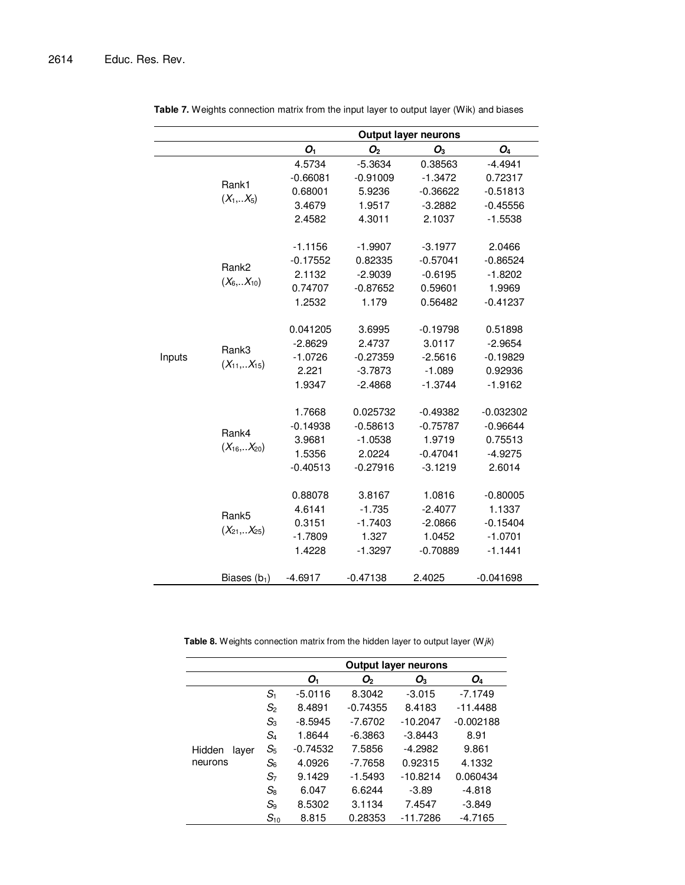|        |                          | <b>Output layer neurons</b> |                |                |                |  |  |  |
|--------|--------------------------|-----------------------------|----------------|----------------|----------------|--|--|--|
|        |                          | O <sub>1</sub>              | O <sub>2</sub> | O <sub>3</sub> | O <sub>4</sub> |  |  |  |
|        |                          | 4.5734                      | $-5.3634$      | 0.38563        | $-4.4941$      |  |  |  |
|        |                          | $-0.66081$                  | $-0.91009$     | $-1.3472$      | 0.72317        |  |  |  |
|        | Rank1                    | 0.68001                     | 5.9236         | $-0.36622$     | $-0.51813$     |  |  |  |
|        | $(X_1,X_5)$              | 3.4679                      | 1.9517         | $-3.2882$      | $-0.45556$     |  |  |  |
|        |                          | 2.4582                      | 4.3011         | 2.1037         | $-1.5538$      |  |  |  |
|        |                          | $-1.1156$                   | $-1.9907$      | $-3.1977$      | 2.0466         |  |  |  |
|        |                          | $-0.17552$                  | 0.82335        | $-0.57041$     | $-0.86524$     |  |  |  |
|        | Rank <sub>2</sub>        | 2.1132                      | $-2.9039$      | $-0.6195$      | $-1.8202$      |  |  |  |
|        | $(X_6,X_{10})$           | 0.74707                     | $-0.87652$     | 0.59601        | 1.9969         |  |  |  |
|        |                          | 1.2532                      | 1.179          | 0.56482        | $-0.41237$     |  |  |  |
|        |                          | 0.041205                    | 3.6995         | $-0.19798$     | 0.51898        |  |  |  |
|        |                          | $-2.8629$                   | 2.4737         | 3.0117         | $-2.9654$      |  |  |  |
| Inputs | Rank3                    | $-1.0726$                   | $-0.27359$     | $-2.5616$      | $-0.19829$     |  |  |  |
|        | $(X_{11},,X_{15})$       | 2.221                       | $-3.7873$      | $-1.089$       | 0.92936        |  |  |  |
|        |                          | 1.9347                      | $-2.4868$      | $-1.3744$      | $-1.9162$      |  |  |  |
|        |                          | 1.7668                      | 0.025732       | $-0.49382$     | $-0.032302$    |  |  |  |
|        |                          | $-0.14938$                  | $-0.58613$     | $-0.75787$     | $-0.96644$     |  |  |  |
|        | Rank4                    | 3.9681                      | $-1.0538$      | 1.9719         | 0.75513        |  |  |  |
|        | $(X_{16}X_{20})$         | 1.5356                      | 2.0224         | $-0.47041$     | $-4.9275$      |  |  |  |
|        |                          | $-0.40513$                  | $-0.27916$     | $-3.1219$      | 2.6014         |  |  |  |
|        |                          | 0.88078                     | 3.8167         | 1.0816         | $-0.80005$     |  |  |  |
|        |                          | 4.6141                      | $-1.735$       | $-2.4077$      | 1.1337         |  |  |  |
|        | Rank <sub>5</sub>        | 0.3151                      | $-1.7403$      | $-2.0866$      | $-0.15404$     |  |  |  |
|        | $(X_{21},\ldots X_{25})$ | $-1.7809$                   | 1.327          | 1.0452         | $-1.0701$      |  |  |  |
|        |                          | 1.4228                      | $-1.3297$      | $-0.70889$     | $-1.1441$      |  |  |  |
|        | Biases $(b_1)$           | $-4.6917$                   | $-0.47138$     | 2.4025         | $-0.041698$    |  |  |  |

**Table 7.** Weights connection matrix from the input layer to output layer (Wik) and biases

Table 8. Weights connection matrix from the hidden layer to output layer (Wjk)

|                 |                | <b>Output layer neurons</b> |                |            |             |  |  |  |
|-----------------|----------------|-----------------------------|----------------|------------|-------------|--|--|--|
|                 |                | 01                          | O <sub>2</sub> | $O_3$      | $O_4$       |  |  |  |
|                 | $S_{1}$        | $-5.0116$                   | 8.3042         | $-3.015$   | $-7.1749$   |  |  |  |
|                 | S <sub>2</sub> | 8.4891                      | $-0.74355$     | 8.4183     | $-11.4488$  |  |  |  |
|                 | S <sub>3</sub> | $-8.5945$                   | $-7.6702$      | $-10.2047$ | $-0.002188$ |  |  |  |
|                 | S <sub>4</sub> | 1.8644                      | $-6.3863$      | $-3.8443$  | 8.91        |  |  |  |
| Hidden<br>laver | $S_{5}$        | $-0.74532$                  | 7.5856         | $-4.2982$  | 9.861       |  |  |  |
| neurons         | $S_6$          | 4.0926                      | $-7.7658$      | 0.92315    | 4.1332      |  |  |  |
|                 | S <sub>7</sub> | 9.1429                      | $-1.5493$      | $-10.8214$ | 0.060434    |  |  |  |
|                 | $S_8$          | 6.047                       | 6.6244         | $-3.89$    | $-4.818$    |  |  |  |
|                 | S <sub>9</sub> | 8.5302                      | 3.1134         | 7.4547     | $-3.849$    |  |  |  |
|                 | $S_{10}$       | 8.815                       | 0.28353        | $-11.7286$ | $-4.7165$   |  |  |  |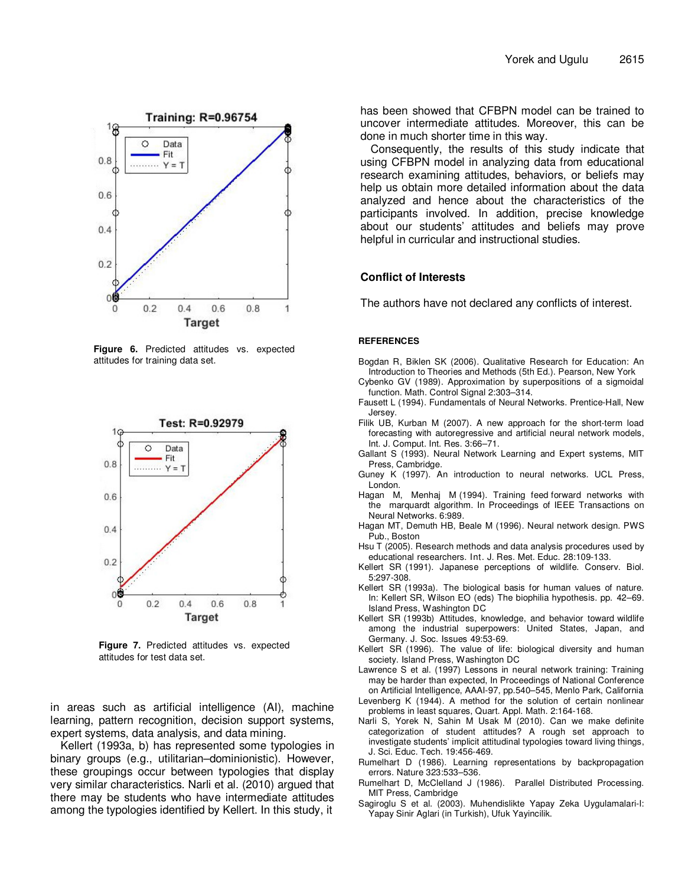

**Figure 6.** Predicted attitudes vs. expected attitudes for training data set.



**Figure 7.** Predicted attitudes vs. expected attitudes for test data set.

in areas such as artificial intelligence (AI), machine learning, pattern recognition, decision support systems, expert systems, data analysis, and data mining.

Kellert (1993a, b) has represented some typologies in binary groups (e.g., utilitarian–dominionistic). However, these groupings occur between typologies that display very similar characteristics. Narli et al. (2010) argued that there may be students who have intermediate attitudes among the typologies identified by Kellert. In this study, it

has been showed that CFBPN model can be trained to uncover intermediate attitudes. Moreover, this can be done in much shorter time in this way.

Consequently, the results of this study indicate that using CFBPN model in analyzing data from educational research examining attitudes, behaviors, or beliefs may help us obtain more detailed information about the data analyzed and hence about the characteristics of the participants involved. In addition, precise knowledge about our students' attitudes and beliefs may prove helpful in curricular and instructional studies.

#### **Conflict of Interests**

The authors have not declared any conflicts of interest.

#### **REFERENCES**

- Bogdan R, Biklen SK (2006). Qualitative Research for Education: An Introduction to Theories and Methods (5th Ed.). Pearson, New York
- Cybenko GV (1989). Approximation by superpositions of a sigmoidal function. Math. Control Signal 2:303–314.
- Fausett L (1994). Fundamentals of Neural Networks. Prentice-Hall, New Jersey.
- Filik UB, Kurban M (2007). A new approach for the short-term load forecasting with autoregressive and artificial neural network models, Int. J. Comput. Int. Res. 3:66–71.
- Gallant S (1993). Neural Network Learning and Expert systems, MIT Press, Cambridge.
- Guney K (1997). An introduction to neural networks. UCL Press, London.
- Hagan M, Menhaj M (1994). Training feed forward networks with the marquardt algorithm. In Proceedings of IEEE Transactions on Neural Networks. 6:989.
- Hagan MT, Demuth HB, Beale M (1996). Neural network design. PWS Pub., Boston
- Hsu T (2005). Research methods and data analysis procedures used by educational researchers. Int. J. Res. Met. Educ. 28:109-133.
- Kellert SR (1991). Japanese perceptions of wildlife. Conserv. Biol. 5:297-308.
- Kellert SR (1993a). The biological basis for human values of nature. In: Kellert SR, Wilson EO (eds) The biophilia hypothesis. pp. 42–69. Island Press, Washington DC
- Kellert SR (1993b) Attitudes, knowledge, and behavior toward wildlife among the industrial superpowers: United States, Japan, and Germany. J. Soc. Issues 49:53-69.
- Kellert SR (1996). The value of life: biological diversity and human society. Island Press, Washington DC

Lawrence S et al. (1997) Lessons in neural network training: Training may be harder than expected, In Proceedings of National Conference on Artificial Intelligence, AAAI-97, pp.540–545, Menlo Park, California

- Levenberg K (1944). A method for the solution of certain nonlinear problems in least squares, Quart. Appl. Math. 2:164-168.
- Narli S, Yorek N, Sahin M Usak M (2010). Can we make definite categorization of student attitudes? A rough set approach to investigate students' implicit attitudinal typologies toward living things, J. Sci. Educ. Tech. 19:456-469.
- Rumelhart D (1986). Learning representations by backpropagation errors. Nature 323:533–536.
- Rumelhart D, McClelland J (1986). Parallel Distributed Processing. MIT Press, Cambridge
- Sagiroglu S et al. (2003). Muhendislikte Yapay Zeka Uygulamalari-I: Yapay Sinir Aglari (in Turkish), Ufuk Yayincilik.